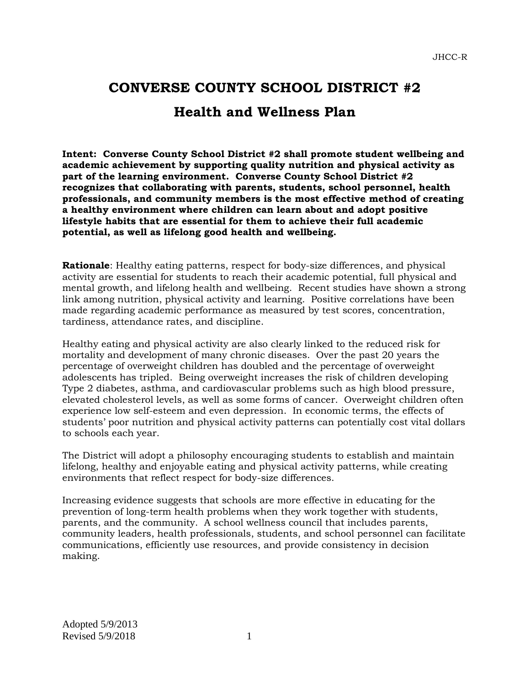# **CONVERSE COUNTY SCHOOL DISTRICT #2 Health and Wellness Plan**

**Intent: Converse County School District #2 shall promote student wellbeing and academic achievement by supporting quality nutrition and physical activity as part of the learning environment. Converse County School District #2 recognizes that collaborating with parents, students, school personnel, health professionals, and community members is the most effective method of creating a healthy environment where children can learn about and adopt positive lifestyle habits that are essential for them to achieve their full academic potential, as well as lifelong good health and wellbeing.**

**Rationale**: Healthy eating patterns, respect for body-size differences, and physical activity are essential for students to reach their academic potential, full physical and mental growth, and lifelong health and wellbeing. Recent studies have shown a strong link among nutrition, physical activity and learning. Positive correlations have been made regarding academic performance as measured by test scores, concentration, tardiness, attendance rates, and discipline.

Healthy eating and physical activity are also clearly linked to the reduced risk for mortality and development of many chronic diseases. Over the past 20 years the percentage of overweight children has doubled and the percentage of overweight adolescents has tripled. Being overweight increases the risk of children developing Type 2 diabetes, asthma, and cardiovascular problems such as high blood pressure, elevated cholesterol levels, as well as some forms of cancer. Overweight children often experience low self-esteem and even depression. In economic terms, the effects of students' poor nutrition and physical activity patterns can potentially cost vital dollars to schools each year.

The District will adopt a philosophy encouraging students to establish and maintain lifelong, healthy and enjoyable eating and physical activity patterns, while creating environments that reflect respect for body-size differences.

Increasing evidence suggests that schools are more effective in educating for the prevention of long-term health problems when they work together with students, parents, and the community. A school wellness council that includes parents, community leaders, health professionals, students, and school personnel can facilitate communications, efficiently use resources, and provide consistency in decision making.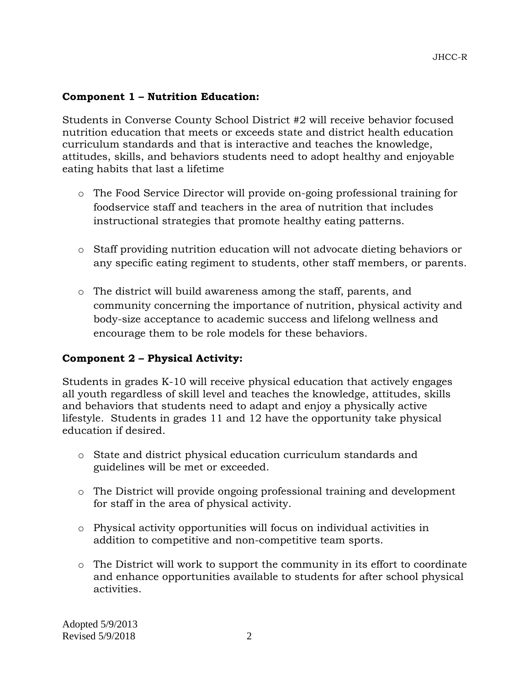#### **Component 1 – Nutrition Education:**

Students in Converse County School District #2 will receive behavior focused nutrition education that meets or exceeds state and district health education curriculum standards and that is interactive and teaches the knowledge, attitudes, skills, and behaviors students need to adopt healthy and enjoyable eating habits that last a lifetime

- o The Food Service Director will provide on-going professional training for foodservice staff and teachers in the area of nutrition that includes instructional strategies that promote healthy eating patterns.
- o Staff providing nutrition education will not advocate dieting behaviors or any specific eating regiment to students, other staff members, or parents.
- o The district will build awareness among the staff, parents, and community concerning the importance of nutrition, physical activity and body-size acceptance to academic success and lifelong wellness and encourage them to be role models for these behaviors.

## **Component 2 – Physical Activity:**

Students in grades K-10 will receive physical education that actively engages all youth regardless of skill level and teaches the knowledge, attitudes, skills and behaviors that students need to adapt and enjoy a physically active lifestyle. Students in grades 11 and 12 have the opportunity take physical education if desired.

- o State and district physical education curriculum standards and guidelines will be met or exceeded.
- o The District will provide ongoing professional training and development for staff in the area of physical activity.
- o Physical activity opportunities will focus on individual activities in addition to competitive and non-competitive team sports.
- o The District will work to support the community in its effort to coordinate and enhance opportunities available to students for after school physical activities.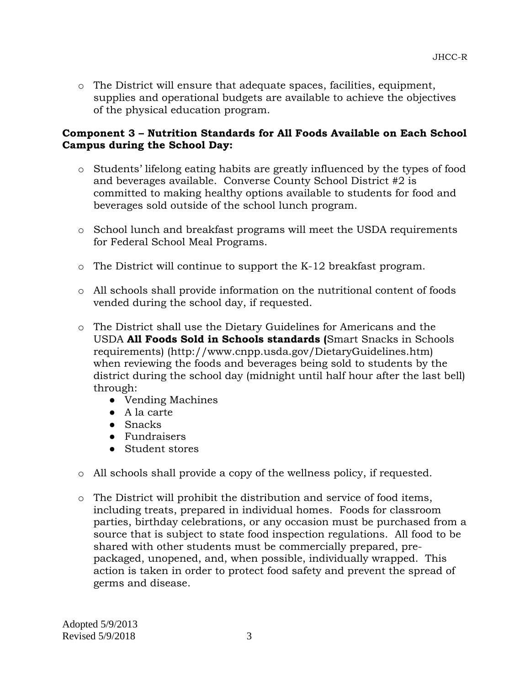o The District will ensure that adequate spaces, facilities, equipment, supplies and operational budgets are available to achieve the objectives of the physical education program.

#### **Component 3 – Nutrition Standards for All Foods Available on Each School Campus during the School Day:**

- o Students' lifelong eating habits are greatly influenced by the types of food and beverages available. Converse County School District #2 is committed to making healthy options available to students for food and beverages sold outside of the school lunch program.
- o School lunch and breakfast programs will meet the USDA requirements for Federal School Meal Programs.
- o The District will continue to support the K-12 breakfast program.
- o All schools shall provide information on the nutritional content of foods vended during the school day, if requested.
- o The District shall use the Dietary Guidelines for Americans and the USDA **All Foods Sold in Schools standards (**Smart Snacks in Schools requirements) [\(http://www.cnpp.usda.gov/DietaryGuidelines.htm\)](http://www.cnpp.usda.gov/DietaryGuidelines.htm) when reviewing the foods and beverages being sold to students by the district during the school day (midnight until half hour after the last bell) through:
	- Vending Machines
	- A la carte
	- Snacks
	- Fundraisers
	- Student stores
- o All schools shall provide a copy of the wellness policy, if requested.
- o The District will prohibit the distribution and service of food items, including treats, prepared in individual homes. Foods for classroom parties, birthday celebrations, or any occasion must be purchased from a source that is subject to state food inspection regulations. All food to be shared with other students must be commercially prepared, prepackaged, unopened, and, when possible, individually wrapped. This action is taken in order to protect food safety and prevent the spread of germs and disease.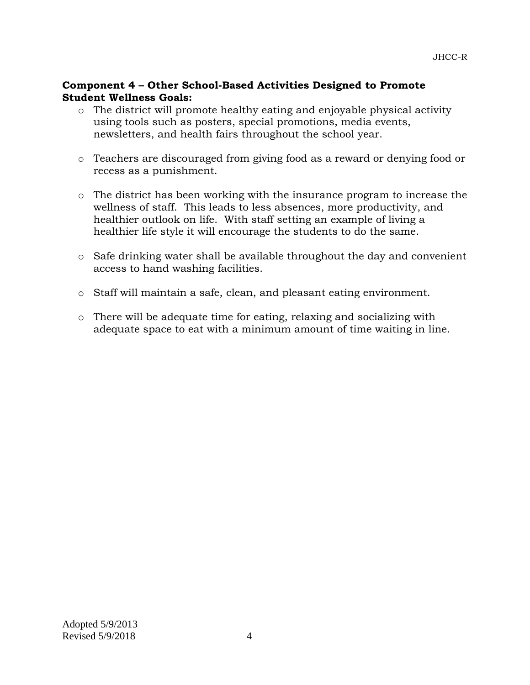### **Component 4 – Other School-Based Activities Designed to Promote Student Wellness Goals:**

- o The district will promote healthy eating and enjoyable physical activity using tools such as posters, special promotions, media events, newsletters, and health fairs throughout the school year.
- o Teachers are discouraged from giving food as a reward or denying food or recess as a punishment.
- o The district has been working with the insurance program to increase the wellness of staff. This leads to less absences, more productivity, and healthier outlook on life. With staff setting an example of living a healthier life style it will encourage the students to do the same.
- o Safe drinking water shall be available throughout the day and convenient access to hand washing facilities.
- o Staff will maintain a safe, clean, and pleasant eating environment.
- o There will be adequate time for eating, relaxing and socializing with adequate space to eat with a minimum amount of time waiting in line.